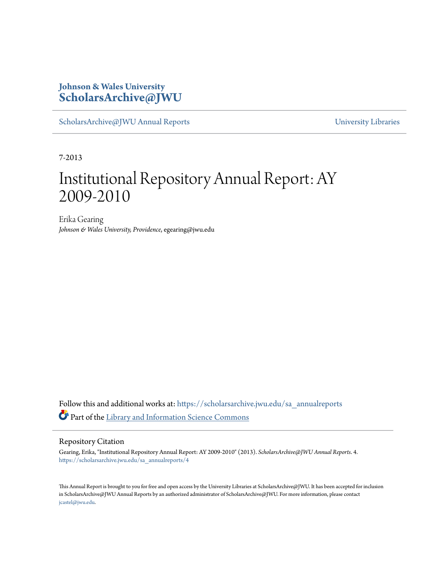### **Johnson & Wales University [ScholarsArchive@JWU](https://scholarsarchive.jwu.edu?utm_source=scholarsarchive.jwu.edu%2Fsa_annualreports%2F4&utm_medium=PDF&utm_campaign=PDFCoverPages)**

[ScholarsArchive@JWU Annual Reports](https://scholarsarchive.jwu.edu/sa_annualreports?utm_source=scholarsarchive.jwu.edu%2Fsa_annualreports%2F4&utm_medium=PDF&utm_campaign=PDFCoverPages) **Example 2018** [University Libraries](https://scholarsarchive.jwu.edu/University_Libraries?utm_source=scholarsarchive.jwu.edu%2Fsa_annualreports%2F4&utm_medium=PDF&utm_campaign=PDFCoverPages)

7-2013

## Institutional Repository Annual Report: AY 2009-2010

Erika Gearing *Johnson & Wales University, Providence*, egearing@jwu.edu

Follow this and additional works at: [https://scholarsarchive.jwu.edu/sa\\_annualreports](https://scholarsarchive.jwu.edu/sa_annualreports?utm_source=scholarsarchive.jwu.edu%2Fsa_annualreports%2F4&utm_medium=PDF&utm_campaign=PDFCoverPages) Part of the [Library and Information Science Commons](http://network.bepress.com/hgg/discipline/1018?utm_source=scholarsarchive.jwu.edu%2Fsa_annualreports%2F4&utm_medium=PDF&utm_campaign=PDFCoverPages)

#### Repository Citation

Gearing, Erika, "Institutional Repository Annual Report: AY 2009-2010" (2013). *ScholarsArchive@JWU Annual Reports*. 4. [https://scholarsarchive.jwu.edu/sa\\_annualreports/4](https://scholarsarchive.jwu.edu/sa_annualreports/4?utm_source=scholarsarchive.jwu.edu%2Fsa_annualreports%2F4&utm_medium=PDF&utm_campaign=PDFCoverPages)

This Annual Report is brought to you for free and open access by the University Libraries at ScholarsArchive@JWU. It has been accepted for inclusion in ScholarsArchive@JWU Annual Reports by an authorized administrator of ScholarsArchive@JWU. For more information, please contact [jcastel@jwu.edu.](mailto:jcastel@jwu.edu)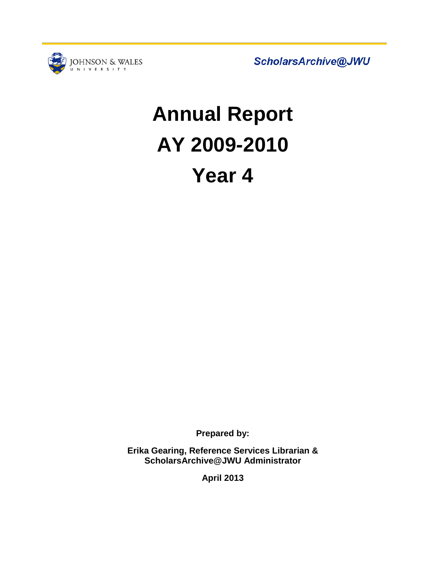

ScholarsArchive@JWU

# **Annual Report AY 2009-2010 Year 4**

**Prepared by:**

**Erika Gearing, Reference Services Librarian & ScholarsArchive@JWU Administrator**

**April 2013**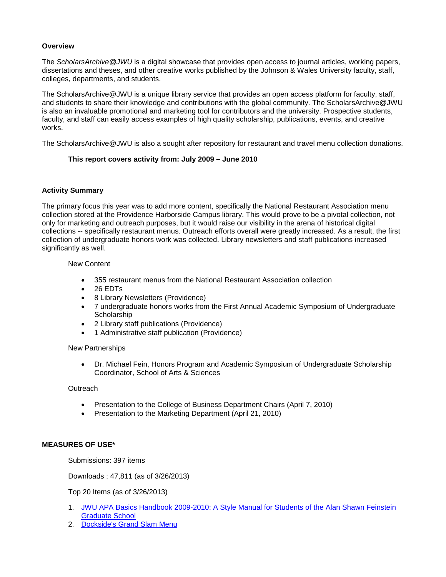#### **Overview**

The *ScholarsArchive@JWU* is a digital showcase that provides open access to journal articles, working papers, dissertations and theses, and other creative works published by the Johnson & Wales University faculty, staff, colleges, departments, and students.

The ScholarsArchive@JWU is a unique library service that provides an open access platform for faculty, staff, and students to share their knowledge and contributions with the global community. The ScholarsArchive@JWU is also an invaluable promotional and marketing tool for contributors and the university. Prospective students, faculty, and staff can easily access examples of high quality scholarship, publications, events, and creative works.

The ScholarsArchive@JWU is also a sought after repository for restaurant and travel menu collection donations.

#### **This report covers activity from: July 2009 – June 2010**

#### **Activity Summary**

The primary focus this year was to add more content, specifically the National Restaurant Association menu collection stored at the Providence Harborside Campus library. This would prove to be a pivotal collection, not only for marketing and outreach purposes, but it would raise our visibility in the arena of historical digital collections -- specifically restaurant menus. Outreach efforts overall were greatly increased. As a result, the first collection of undergraduate honors work was collected. Library newsletters and staff publications increased significantly as well.

#### New Content

- 355 restaurant menus from the National Restaurant Association collection
- 26 EDTs
- 8 Library Newsletters (Providence)
- 7 undergraduate honors works from the First Annual Academic Symposium of Undergraduate **Scholarship**
- 2 Library staff publications (Providence)
- 1 Administrative staff publication (Providence)

#### New Partnerships

• Dr. Michael Fein, Honors Program and Academic Symposium of Undergraduate Scholarship Coordinator, School of Arts & Sciences

#### **Outreach**

- Presentation to the College of Business Department Chairs (April 7, 2010)
- Presentation to the Marketing Department (April 21, 2010)

#### **MEASURES OF USE\***

Submissions: 397 items

Downloads : 47,811 (as of 3/26/2013)

Top 20 Items (as of 3/26/2013)

- 1. [JWU APA Basics Handbook 2009-2010: A Style Manual for Students of the Alan Shawn Feinstein](http://scholarsarchive.jwu.edu/grad_adm/2)  [Graduate School](http://scholarsarchive.jwu.edu/grad_adm/2)
- 2. [Dockside's Grand Slam Menu](http://scholarsarchive.jwu.edu/menu_collection/29)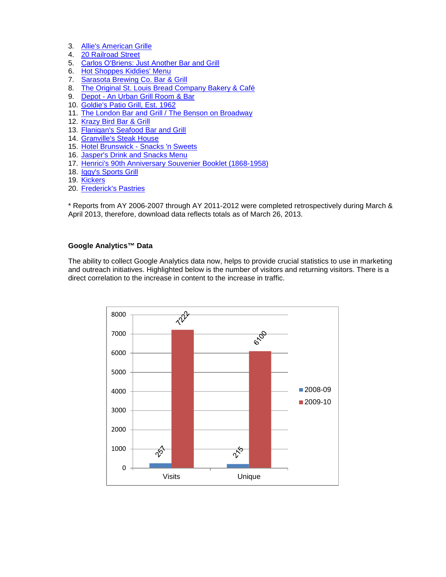- 3. [Allie's American Grille](http://scholarsarchive.jwu.edu/menu_collection/48)<br>4. 20 Railroad Street
- [20 Railroad Street](http://scholarsarchive.jwu.edu/menu_collection/66)
- 5. [Carlos O'Briens: Just Another Bar and Grill](http://scholarsarchive.jwu.edu/menu_collection/63)
- 6. [Hot Shoppes Kiddies' Menu](http://scholarsarchive.jwu.edu/menu_collection/59)
- 7. [Sarasota Brewing Co. Bar & Grill](http://scholarsarchive.jwu.edu/menu_collection/59)
- 8. [The Original St. Louis Bread Company Bakery & Café](http://scholarsarchive.jwu.edu/menu_collection/51)<br>9. Depot An Urban Grill Room & Bar
- Depot [An Urban Grill Room & Bar](http://scholarsarchive.jwu.edu/menu_collection/30)
- 10. [Goldie's Patio Grill, Est. 1962](http://scholarsarchive.jwu.edu/menu_collection/24)
- 11. The [London Bar and Grill / The Benson on Broadway](http://scholarsarchive.jwu.edu/menu_collection/64)
- 12. [Krazy Bird Bar & Grill](http://scholarsarchive.jwu.edu/menu_collection/12)
- 13. [Flanigan's Seafood Bar and Grill](http://scholarsarchive.jwu.edu/menu_collection/28)
- 14. [Granville's Steak House](http://scholarsarchive.jwu.edu/menu_collection/22)
- 15. Hotel Brunswick [Snacks 'n Sweets](http://scholarsarchive.jwu.edu/menu_collection/58)
- 16. [Jasper's Drink and Snacks Menu](http://scholarsarchive.jwu.edu/menu_collection/17)
- 17. [Henrici's 90th Anniversary Souvenier Booklet \(1868-1958\)](http://scholarsarchive.jwu.edu/menu_collection/61)
- 18. [Iggy's Sports Grill](http://scholarsarchive.jwu.edu/menu_collection/18)
- 19. [Kickers](http://scholarsarchive.jwu.edu/menu_collection/13)
- 20. [Frederick's Pastries](http://scholarsarchive.jwu.edu/menu_collection/67)

\* Reports from AY 2006-2007 through AY 2011-2012 were completed retrospectively during March & April 2013, therefore, download data reflects totals as of March 26, 2013.

#### **Google Analytics™ Data**

The ability to collect Google Analytics data now, helps to provide crucial statistics to use in marketing and outreach initiatives. Highlighted below is the number of visitors and returning visitors. There is a direct correlation to the increase in content to the increase in traffic.

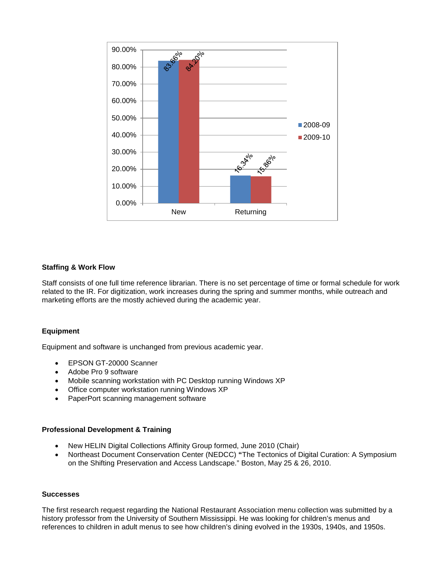

#### **Staffing & Work Flow**

Staff consists of one full time reference librarian. There is no set percentage of time or formal schedule for work related to the IR. For digitization, work increases during the spring and summer months, while outreach and marketing efforts are the mostly achieved during the academic year.

#### **Equipment**

Equipment and software is unchanged from previous academic year.

- EPSON GT-20000 Scanner
- Adobe Pro 9 software
- Mobile scanning workstation with PC Desktop running Windows XP
- Office computer workstation running Windows XP
- PaperPort scanning management software

#### **Professional Development & Training**

- New HELIN Digital Collections Affinity Group formed, June 2010 (Chair)
- Northeast Document Conservation Center (NEDCC) **"**The Tectonics of Digital Curation: A Symposium on the Shifting Preservation and Access Landscape." Boston, May 25 & 26, 2010.

#### **Successes**

The first research request regarding the National Restaurant Association menu collection was submitted by a history professor from the University of Southern Mississippi. He was looking for children's menus and references to children in adult menus to see how children's dining evolved in the 1930s, 1940s, and 1950s.